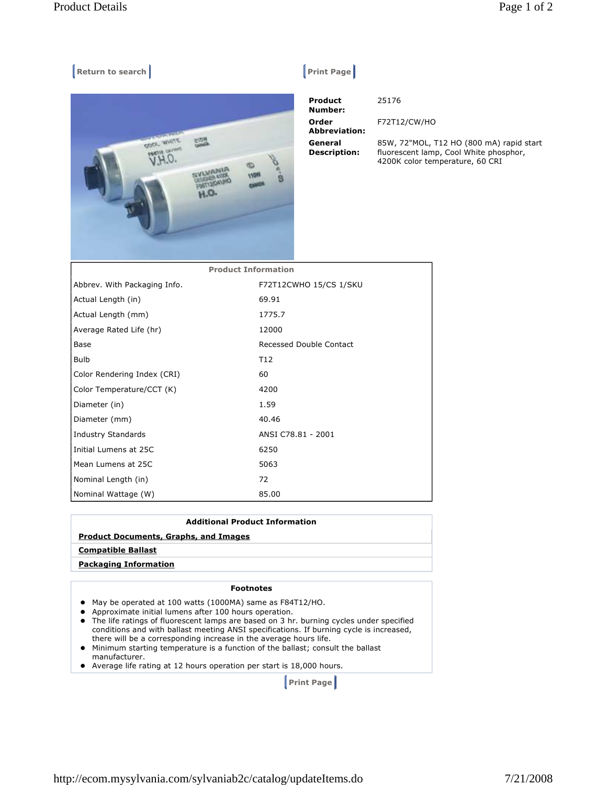# **Example 2 Return to search Allen Contract Contract Contract Contract Contract Contract Contract Contract Contract Contract Contract Contract Contract Contract Contract Contract Contract Contract Contract Contract Contract**



| <b>Product</b><br>Number:      | 25176                                                                                                                 |
|--------------------------------|-----------------------------------------------------------------------------------------------------------------------|
| Order<br><b>Abbreviation:</b>  | F72T12/CW/HO                                                                                                          |
| General<br><b>Description:</b> | 85W, 72"MOL, T12 HO (800 mA) rapid start<br>fluorescent lamp, Cool White phosphor,<br>4200K color temperature, 60 CRI |

| <b>Product Information</b>   |                         |  |
|------------------------------|-------------------------|--|
| Abbrev. With Packaging Info. | F72T12CWHO 15/CS 1/SKU  |  |
| Actual Length (in)           | 69.91                   |  |
| Actual Length (mm)           | 1775.7                  |  |
| Average Rated Life (hr)      | 12000                   |  |
| Base                         | Recessed Double Contact |  |
| <b>Bulb</b>                  | T <sub>12</sub>         |  |
| Color Rendering Index (CRI)  | 60                      |  |
| Color Temperature/CCT (K)    | 4200                    |  |
| Diameter (in)                | 1.59                    |  |
| Diameter (mm)                | 40.46                   |  |
| <b>Industry Standards</b>    | ANSI C78.81 - 2001      |  |
| Initial Lumens at 25C        | 6250                    |  |
| Mean Lumens at 25C           | 5063                    |  |
| Nominal Length (in)          | 72                      |  |
| Nominal Wattage (W)          | 85.00                   |  |

## **Additional Product Information**

#### **Product Documents, Graphs, and Images**

### **Compatible Ballast**

#### **Packaging Information**

#### **Footnotes**

- May be operated at 100 watts (1000MA) same as F84T12/HO.
- Approximate initial lumens after 100 hours operation.
- The life ratings of fluorescent lamps are based on 3 hr. burning cycles under specified conditions and with ballast meeting ANSI specifications. If burning cycle is increased, there will be a corresponding increase in the average hours life.
- Minimum starting temperature is a function of the ballast; consult the ballast manufacturer.
- Average life rating at 12 hours operation per start is 18,000 hours.

 **Print Page**